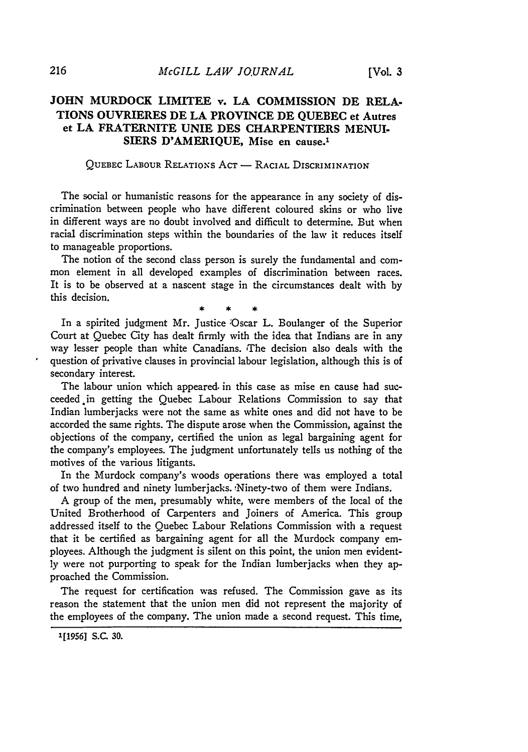## **JOHN MURDOCK LIMITEE v. LA COMMISSION DE RELA-TIONS OUVRIERES DE LA PROVINCE DE QUEBEC et Autres et LA FRATERNITE UNIE DES CHARPENTIERS MENUI-SIERS D'AMERIQUE,** Mise en cause.'

## QUEBEC LABOUR RELATIONS ACT - RACIAL DISCRIMINATION

The social or humanistic reasons for the appearance in any society of discrimination between people who have different coloured skins or who live in different ways are no doubt involved and difficult to determine. But when racial discrimination steps within the boundaries of the law it reduces itself to manageable proportions.

The notion of the second class person is surely the fundamental and common element in all developed examples of discrimination between races. It is to be observed at a nascent stage in the circumstances dealt with by this decision.

In a spirited judgment Mr. Justice 'Oscar L. Boulanger of the Superior Court at Quebec City has dealt firmly with the idea that Indians are in any way lesser people than white Canadians. The decision also deals with the question of privative clauses in provincial labour legislation, although this is of secondary interest.

The labour union which appeared. in this case as mise en cause had succeeded.in getting the Quebec Labour Relations Commission to say that Indian lumberjacks were not the same as white ones and did not have to be accorded the same rights. The dispute arose when the Commission, against the objections of the company, certified the union as legal bargaining agent for the company's employees. The judgment unfortunately tells us nothing of the motives of the various litigants.

In the Murdock company's woods operations there was employed a total of two hundred and ninety lumberjacks. 'Ninety-two of them were Indians.

A group of the men, presumably white, were members of the local of the United Brotherhood of Carpenters and Joiners of America. This group addressed itself to the Quebec Labour Relations Commission with a request that it be certified as bargaining agent for all the Murdock company employees. Although the judgment is silent on this point, the union men evidently were not purporting to speak for the Indian lumberjacks when they approached the Commission.

The request for certification was refused. The Commission gave as its reason the statement that the union men did not represent the majority of the employees of the company. The union made a second request. This time,

**<sup>1[1956]</sup> S.C. 30.**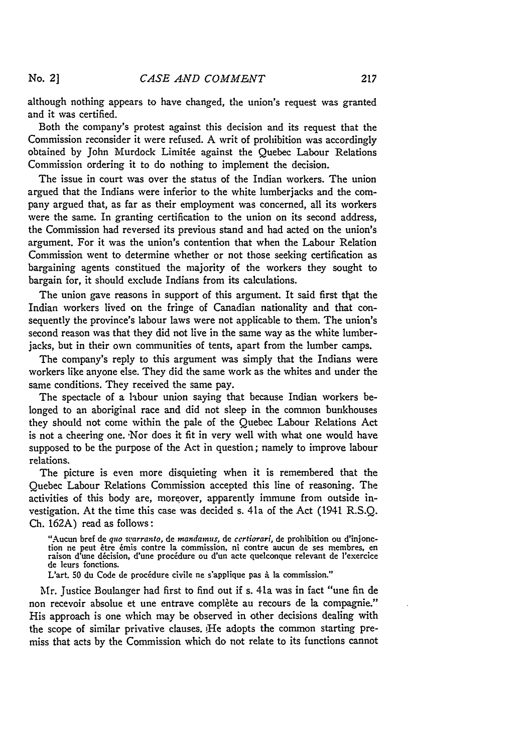**No. 2]**

although nothing appears to have changed, the union's request was granted and it was certified.

Both the company's protest against this decision and its request that the Commission reconsider it were refused. A writ of prohibition was accordingly obtained by John Murdock Limitée against the Quebec Labour Relations Commission ordering it to do nothing to implement the decision.

The issue in court was over the status of the Indian workers. The union argued that the Indians were inferior to the white lumberjacks and the company argued that, as far as their employment was concerned, all its workers were the same. In granting certification to the union on its second address, the Commission had reversed its previous stand and had acted on the union's argument. For it was the union's contention that when the Labour Relation Commission went to determine whether or not those seeking certification as bargaining agents constitued the majority of the workers they sought to bargain for, it should exclude Indians from its calculations.

The union gave reasons in support of this argument. It said first that the Indian workers lived on the fringe of Canadian nationality and that consequently the province's labour laws were not applicable to them. The union's second reason was that they did not live in the same way as the white lumberjacks, but in their own communities of tents, apart from the lumber camps.

The company's reply to this argument was simply that the Indians were workers like anyone else. They did the same work as the whites and under the same conditions. They received the same pay.

The spectacle of a labour union saying that because Indian workers belonged to an aboriginal race and did not sleep in the common bunkhouses they should not come within the pale of the Quebec Labour Relations Act is not a cheering one. 'Nor does it fit in very well with what one would have supposed to be the purpose of the Act in question; namely to improve labour relations.

The picture is even more disquieting when it is remembered that the Quebec Labour Relations Commission accepted this line of reasoning. The activities of this body are, moreover, apparently immune from outside investigation. At the time this case was decided s. 41a of the Act (1941 R.S.Q. Ch. 162A) read as follows:

"Aucun bref de quo warranto, de mandamus, de certiorari, de prohibition ou d'injonetion ne peut être émis contre la commission, ni contre aucun de ses membres, en raison d'une décision, d'une procédure ou d'un acte quelcon de leurs fonctions.

L'art. 50 du Code de procédure civile ne s'applique pas à la commission."

Mr. Justice Boulanger had first to find out if s. 41a was in fact "une fin de non recevoir absolue et une entrave complète au recours de la compagnie." His approach is one which may be observed in other decisions dealing with the scope of similar privative clauses. !He adopts the common starting premiss that acts by the Commission which do not relate to its functions cannot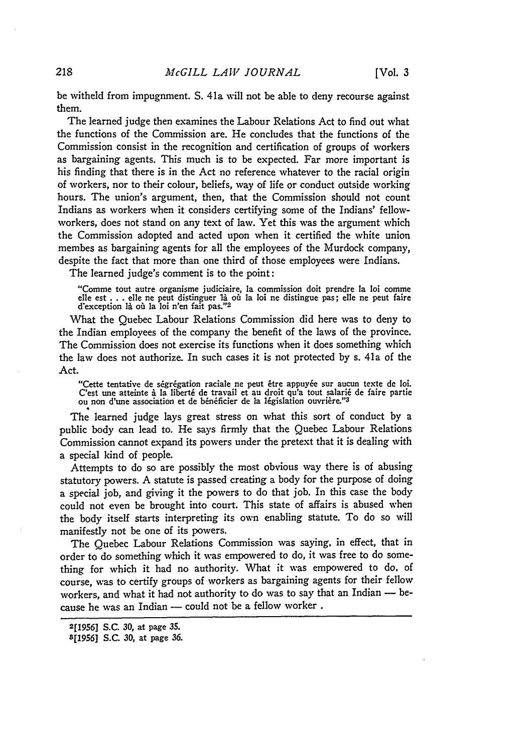be witheld from impugnment. S. 41a will not be able to deny recourse against them.

The learned judge then examines the Labour Relations Act to find out what the functions of the Commission are. He concludes that the functions of the Commission consist in the recognition and certification of groups of workers as bargaining agents. This much is to be expected. Far more important is his finding that there is in the Act no reference whatever to the racial origin of workers, nor to their colour, beliefs, way of life or conduct outside working hours. The union's argument, then, that the Commission should not count Indians as workers when it considers certifying some of the Indians' fellowworkers, does not stand on any text of law. Yet this was the argument which the Commission adopted and acted upon when it certified the white union membes as bargaining agents for all the employees of the Murdock company, despite the fact that more than one third of those employees were Indians.

The learned judge's comment is to the point:

"Comme tout autre organisme judiciaire, la commission doit prendre la loi comme elle est **... elle ne peut distinguer là où** la loi n'en fait pas."<sup>2</sup><br>d'exception là où la loi n'en fait pas."<sup>2</sup>

What the Quebec Labour Relations Commission did here was to deny to the Indian employees of the company the benefit of the laws of the province. The Commission does not exercise its functions when it does something which the law does not authorize. In such cases it is not protected **by** s. 41a of the Act.

"Cette tentative de ségrégation raciale ne peut être appuyée sur aucun texte de loi. C'est une atteinte à la liberté de travail et au droit qu'a tout salarié de faire partie<br>ou non d'une association et de bénéficier de la législation ouvrière."<sup>3</sup>

The learned judge lays great stress on what this sort of conduct by a public body can lead to. He says firmly that the Quebec Labour Relations Commission cannot expand its powers under the pretext that it is dealing with a special kind of people.

Attempts to do so are possibly the most obvious way there is of abusing statutory powers. A statute is passed creating a body for the purpose of doing a special job, and giving it the powers to do that job. In this case the body could not even be brought into court. This state of affairs is abused when the body itself starts interpreting its own enabling statute. To do so will manifestly not be one of its powers.

The Quebec Labour Relations Commission was saying, in effect, that in order to do something which it was empowered to do, it was free to do something for which it had no authority. What it was empowered to do, of course, was to certify groups of workers as bargaining agents for their fellow workers, and what it had not authority to do was to say that an Indian - because he was an Indian - could not be a fellow worker.

**<sup>2[1956]</sup>** S.C. *30,* at page **35.**

<sup>[11956</sup>l S.C. 30, at page 36.